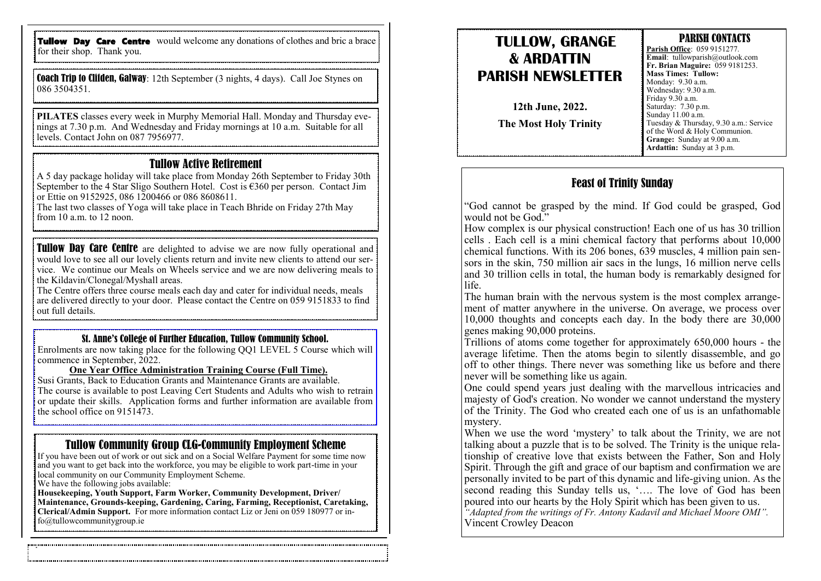Tullow Day Care Centre would welcome any donations of clothes and bric a brace for their shop. Thank you.

Coach Trip to Clifden, Galway: 12th September (3 nights, 4 days). Call Joe Stynes on 086 3504351.

**PILATES** classes every week in Murphy Memorial Hall. Monday and Thursday evenings at 7.30 p.m. And Wednesday and Friday mornings at 10 a.m. Suitable for all levels. Contact John on 087 7956977.

#### Tullow Active Retirement

A 5 day package holiday will take place from Monday 26th September to Friday 30th September to the 4 Star Sligo Southern Hotel. Cost is  $\epsilon$ 360 per person. Contact Jim or Ettie on 9152925, 086 1200466 or 086 8608611.

The last two classes of Yoga will take place in Teach Bhride on Friday 27th May from 10 a.m. to 12 noon.

**Tullow Day Care Centre** are delighted to advise we are now fully operational and would love to see all our lovely clients return and invite new clients to attend our service. We continue our Meals on Wheels service and we are now delivering meals to the Kildavin/Clonegal/Myshall areas.

The Centre offers three course meals each day and cater for individual needs, meals are delivered directly to your door. Please contact the Centre on 059 9151833 to find out full details.

#### St. Anne's College of Further Education, Tullow Community School.

Enrolments are now taking place for the following QQ1 LEVEL 5 Course which will commence in September, 2022.

#### **One Year Office Administration Training Course (Full Time).**

Susi Grants, Back to Education Grants and Maintenance Grants are available. The course is available to post Leaving Cert Students and Adults who wish to retrain or update their skills. Application forms and further information are available from the school office on 9151473.

### Tullow Community Group CLG-Community Employment Scheme

If you have been out of work or out sick and on a Social Welfare Payment for some time now and you want to get back into the workforce, you may be eligible to work part-time in your local community on our Community Employment Scheme.

We have the following jobs available:

**Housekeeping, Youth Support, Farm Worker, Community Development, Driver/ Maintenance, Grounds-keeping, Gardening, Caring, Farming, Receptionist, Caretaking, Clerical/Admin Support.** For more information contact Liz or Jeni on 059 180977 or info@tullowcommunitygroup.ie

# **TULLOW, GRANGE & ARDATTIN PARISH NEWSLETTER**

**12th June, 2022. The Most Holy Trinity**

#### PARISH CONTACTS

**Parish Office**: 059 9151277. **Email**: tullowparish@outlook.com **Fr. Brian Maguire:** 059 9181253. **Mass Times: Tullow:**  Monday: 9.30 a.m. Wednesday: 9.30 a.m. Friday 9.30 a.m. Saturday: 7.30 p.m. Sunday 11.00 a.m. Tuesday & Thursday, 9.30 a.m.: Service of the Word & Holy Communion. **Grange:** Sunday at 9.00 a.m. **Ardattin:** Sunday at 3 p.m.

### Feast of Trinity Sunday

"God cannot be grasped by the mind. If God could be grasped, God would not be God."

How complex is our physical construction! Each one of us has 30 trillion cells . Each cell is a mini chemical factory that performs about 10,000 chemical functions. With its 206 bones, 639 muscles, 4 million pain sensors in the skin, 750 million air sacs in the lungs, 16 million nerve cells and 30 trillion cells in total, the human body is remarkably designed for life.

The human brain with the nervous system is the most complex arrangement of matter anywhere in the universe. On average, we process over 10,000 thoughts and concepts each day. In the body there are 30,000 genes making 90,000 proteins.

Trillions of atoms come together for approximately 650,000 hours - the average lifetime. Then the atoms begin to silently disassemble, and go off to other things. There never was something like us before and there never will be something like us again.

One could spend years just dealing with the marvellous intricacies and  $\vert$  majesty of God's creation. No wonder we cannot understand the mystery of the Trinity. The God who created each one of us is an unfathomable mystery.

When we use the word 'mystery' to talk about the Trinity, we are not talking about a puzzle that is to be solved. The Trinity is the unique relationship of creative love that exists between the Father, Son and Holy Spirit. Through the gift and grace of our baptism and confirmation we are personally invited to be part of this dynamic and life-giving union. As the second reading this Sunday tells us, '.... The love of God has been poured into our hearts by the Holy Spirit which has been given to us. *"Adapted from the writings of Fr. Antony Kadavil and Michael Moore OMI".* Vincent Crowley Deacon